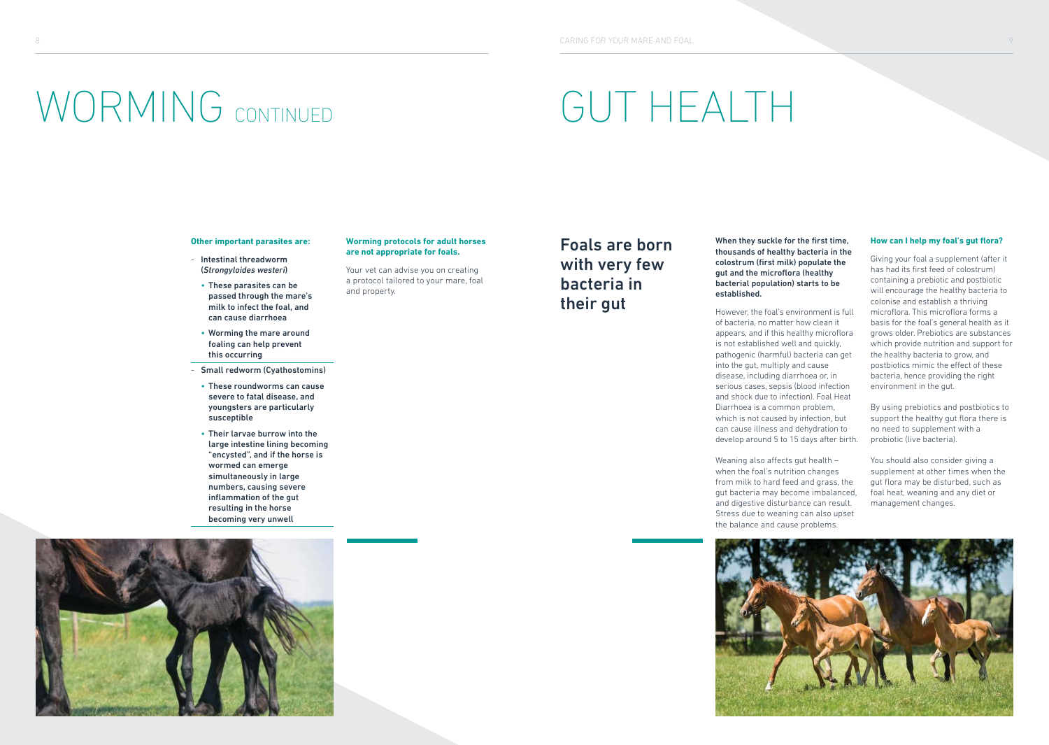# GUT HEALTH

#### **Other important parasites are:**

- Intestinal threadworm (*Strongyloides westeri*)

WORMING CONTINUED

- These parasites can be passed through the mare's milk to infect the foal, and can cause diarrhoea
- Worming the mare around foaling can help prevent this occurring
- Small redworm (Cyathostomins)
- These roundworms can cause severe to fatal disease, and youngsters are particularly susceptible
- Their larvae burrow into the large intestine lining becoming "encysted", and if the horse is wormed can emerge simultaneously in large numbers, causing severe inflammation of the gut resulting in the horse becoming very unwell



### **Worming protocols for adult horses are not appropriate for foals.**

Your vet can advise you on creating a protocol tailored to your mare, foal and property.

# Foals are born with very few bacteria in their gut

When they suckle for the first time, thousands of healthy bacteria in the colostrum (first milk) populate the gut and the microflora (healthy bacterial population) starts to be established.

However, the foal's environment is full of bacteria, no matter how clean it appears, and if this healthy microflora is not established well and quickly, pathogenic (harmful) bacteria can get into the gut, multiply and cause disease, including diarrhoea or, in serious cases, sepsis (blood infection and shock due to infection). Foal Heat Diarrhoea is a common problem, which is not caused by infection, but can cause illness and dehydration to develop around 5 to 15 days after birth.

Weaning also affects gut health when the foal's nutrition changes from milk to hard feed and grass, the gut bacteria may become imbalanced, and digestive disturbance can result. Stress due to weaning can also upset the balance and cause problems.

### **How can I help my foal's gut flora?**

Giving your foal a supplement (after it has had its first feed of colostrum) containing a prebiotic and postbiotic will encourage the healthy bacteria to colonise and establish a thriving microflora. This microflora forms a basis for the foal's general health as it grows older. Prebiotics are substances which provide nutrition and support for the healthy bacteria to grow, and postbiotics mimic the effect of these bacteria, hence providing the right environment in the gut.

By using prebiotics and postbiotics to support the healthy gut flora there is no need to supplement with a probiotic (live bacteria).

You should also consider giving a supplement at other times when the gut flora may be disturbed, such as foal heat, weaning and any diet or management changes.

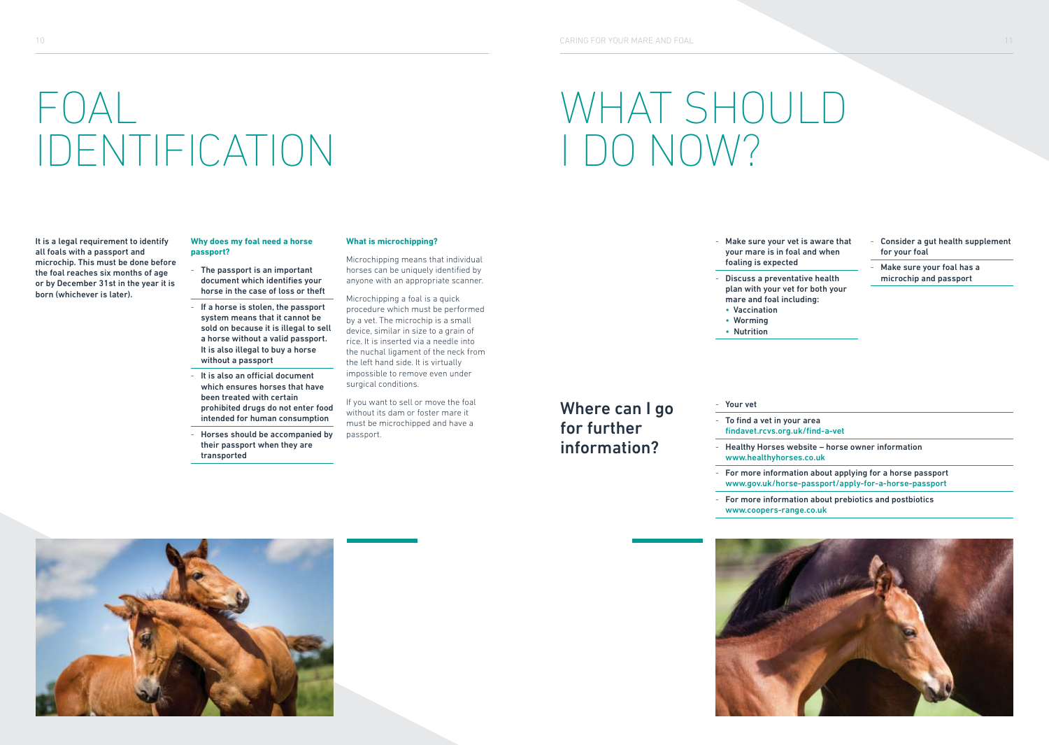# FOAL IDENTIFICATION

It is a legal requirement to identify all foals with a passport and microchip. This must be done before the foal reaches six months of age or by December 31st in the year it is born (whichever is later).

### **Why does my foal need a horse passport?**

- The passport is an important document which identifies your horse in the case of loss or theft
- If a horse is stolen, the passport system means that it cannot be sold on because it is illegal to sell a horse without a valid passport. It is also illegal to buy a horse without a passport
- $-$  It is also an official document which ensures horses that have been treated with certain prohibited drugs do not enter food intended for human consumption
- Horses should be accompanied by their passport when they are transported

### **What is microchipping?**

Microchipping means that individual horses can be uniquely identified by anyone with an appropriate scanner.

Microchipping a foal is a quick procedure which must be performed by a vet. The microchip is a small device, similar in size to a grain of rice. It is inserted via a needle into the nuchal ligament of the neck from the left hand side. It is virtually impossible to remove even under surgical conditions.

If you want to sell or move the foal without its dam or foster mare it must be microchipped and have a passport.

- Make sure your vet is aware that your mare is in foal and when foaling is expected
- Discuss a preventative health mare and foal including:
- 
- 

WHAT SHOULD

I DO NOW?

Where can I go for further information?

- 
- plan with your vet for both your
- 
- Nutrition

Consider a gut health supplement for your foal

- Make sure your foal has a microchip and passport
- 
- 
- 

## • Vaccination

- Worming
- 

### - Your vet

- Visit msd-animal-health.ie and search under Species Horses for information on a range of diseases and their management